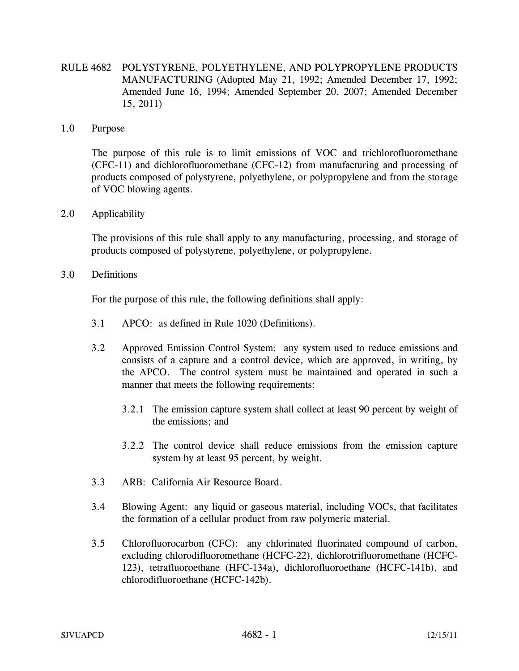RULE 4682 POLYSTYRENE, POLYETHYLENE, AND POLYPROPYLENE PRODUCTS MANUFACTURING (Adopted May 21, 1992; Amended December 17, 1992; Amended June 16, 1994; Amended September 20, 2007; Amended December 15, 2011)

#### 1.0 Purpose

 The purpose of this rule is to limit emissions of VOC and trichlorofluoromethane (CFC-11) and dichlorofluoromethane (CFC-12) from manufacturing and processing of products composed of polystyrene, polyethylene, or polypropylene and from the storage of VOC blowing agents.

## 2.0 Applicability

 The provisions of this rule shall apply to any manufacturing, processing, and storage of products composed of polystyrene, polyethylene, or polypropylene.

3.0 Definitions

For the purpose of this rule, the following definitions shall apply:

- 3.1 APCO: as defined in Rule 1020 (Definitions).
- 3.2 Approved Emission Control System: any system used to reduce emissions and consists of a capture and a control device, which are approved, in writing, by the APCO. The control system must be maintained and operated in such a manner that meets the following requirements:
	- 3.2.1 The emission capture system shall collect at least 90 percent by weight of the emissions; and
	- 3.2.2 The control device shall reduce emissions from the emission capture system by at least 95 percent, by weight.
- 3.3 ARB: California Air Resource Board.
- 3.4 Blowing Agent: any liquid or gaseous material, including VOCs, that facilitates the formation of a cellular product from raw polymeric material.
- 3.5 Chlorofluorocarbon (CFC): any chlorinated fluorinated compound of carbon, excluding chlorodifluoromethane (HCFC-22), dichlorotrifluoromethane (HCFC-123), tetrafluoroethane (HFC-134a), dichlorofluoroethane (HCFC-141b), and chlorodifluoroethane (HCFC-142b).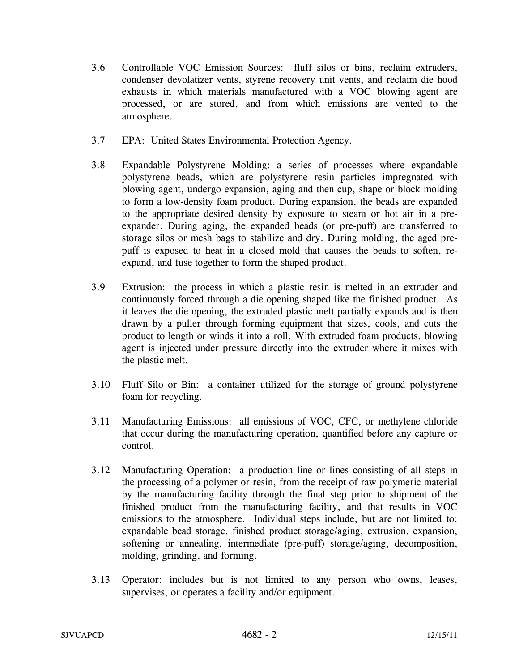- 3.6 Controllable VOC Emission Sources: fluff silos or bins, reclaim extruders, condenser devolatizer vents, styrene recovery unit vents, and reclaim die hood exhausts in which materials manufactured with a VOC blowing agent are processed, or are stored, and from which emissions are vented to the atmosphere.
- 3.7 EPA: United States Environmental Protection Agency.
- 3.8 Expandable Polystyrene Molding: a series of processes where expandable polystyrene beads, which are polystyrene resin particles impregnated with blowing agent, undergo expansion, aging and then cup, shape or block molding to form a low-density foam product. During expansion, the beads are expanded to the appropriate desired density by exposure to steam or hot air in a preexpander. During aging, the expanded beads (or pre-puff) are transferred to storage silos or mesh bags to stabilize and dry. During molding, the aged prepuff is exposed to heat in a closed mold that causes the beads to soften, reexpand, and fuse together to form the shaped product.
- 3.9 Extrusion: the process in which a plastic resin is melted in an extruder and continuously forced through a die opening shaped like the finished product. As it leaves the die opening, the extruded plastic melt partially expands and is then drawn by a puller through forming equipment that sizes, cools, and cuts the product to length or winds it into a roll. With extruded foam products, blowing agent is injected under pressure directly into the extruder where it mixes with the plastic melt.
- 3.10 Fluff Silo or Bin: a container utilized for the storage of ground polystyrene foam for recycling.
- 3.11 Manufacturing Emissions: all emissions of VOC, CFC, or methylene chloride that occur during the manufacturing operation, quantified before any capture or control.
- 3.12 Manufacturing Operation: a production line or lines consisting of all steps in the processing of a polymer or resin, from the receipt of raw polymeric material by the manufacturing facility through the final step prior to shipment of the finished product from the manufacturing facility, and that results in VOC emissions to the atmosphere. Individual steps include, but are not limited to: expandable bead storage, finished product storage/aging, extrusion, expansion, softening or annealing, intermediate (pre-puff) storage/aging, decomposition, molding, grinding, and forming.
- 3.13 Operator: includes but is not limited to any person who owns, leases, supervises, or operates a facility and/or equipment.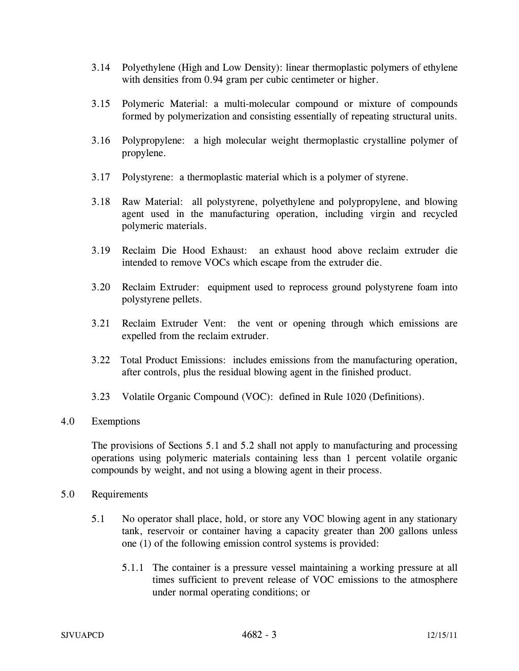- 3.14 Polyethylene (High and Low Density): linear thermoplastic polymers of ethylene with densities from 0.94 gram per cubic centimeter or higher.
- 3.15 Polymeric Material: a multi-molecular compound or mixture of compounds formed by polymerization and consisting essentially of repeating structural units.
- 3.16 Polypropylene: a high molecular weight thermoplastic crystalline polymer of propylene.
- 3.17 Polystyrene: a thermoplastic material which is a polymer of styrene.
- 3.18 Raw Material: all polystyrene, polyethylene and polypropylene, and blowing agent used in the manufacturing operation, including virgin and recycled polymeric materials.
- 3.19 Reclaim Die Hood Exhaust: an exhaust hood above reclaim extruder die intended to remove VOCs which escape from the extruder die.
- 3.20 Reclaim Extruder: equipment used to reprocess ground polystyrene foam into polystyrene pellets.
- 3.21 Reclaim Extruder Vent: the vent or opening through which emissions are expelled from the reclaim extruder.
- 3.22 Total Product Emissions: includes emissions from the manufacturing operation, after controls, plus the residual blowing agent in the finished product.
- 3.23 Volatile Organic Compound (VOC): defined in Rule 1020 (Definitions).

## 4.0 Exemptions

 The provisions of Sections 5.1 and 5.2 shall not apply to manufacturing and processing operations using polymeric materials containing less than 1 percent volatile organic compounds by weight, and not using a blowing agent in their process.

#### 5.0 Requirements

- 5.1 No operator shall place, hold, or store any VOC blowing agent in any stationary tank, reservoir or container having a capacity greater than 200 gallons unless one (1) of the following emission control systems is provided:
	- 5.1.1 The container is a pressure vessel maintaining a working pressure at all times sufficient to prevent release of VOC emissions to the atmosphere under normal operating conditions; or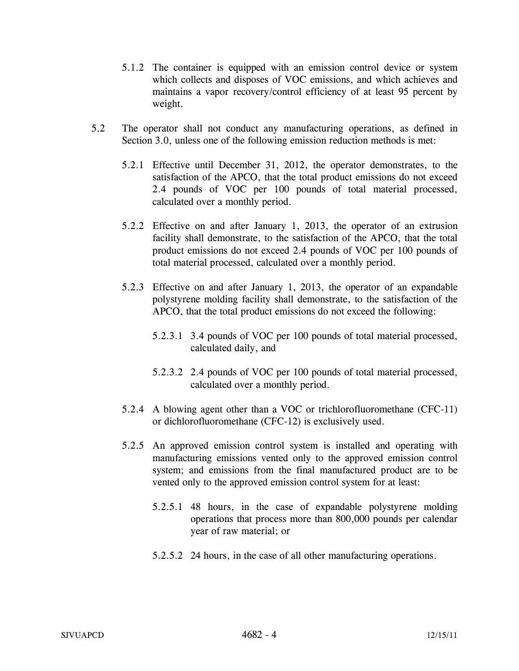- 5.1.2 The container is equipped with an emission control device or system which collects and disposes of VOC emissions, and which achieves and maintains a vapor recovery/control efficiency of at least 95 percent by weight.
- 5.2 The operator shall not conduct any manufacturing operations, as defined in Section 3.0, unless one of the following emission reduction methods is met:
	- 5.2.1 Effective until December 31, 2012, the operator demonstrates, to the satisfaction of the APCO, that the total product emissions do not exceed 2.4 pounds of VOC per 100 pounds of total material processed, calculated over a monthly period.
	- 5.2.2 Effective on and after January 1, 2013, the operator of an extrusion facility shall demonstrate, to the satisfaction of the APCO, that the total product emissions do not exceed 2.4 pounds of VOC per 100 pounds of total material processed, calculated over a monthly period.
	- 5.2.3 Effective on and after January 1, 2013, the operator of an expandable polystyrene molding facility shall demonstrate, to the satisfaction of the APCO, that the total product emissions do not exceed the following:
		- 5.2.3.1 3.4 pounds of VOC per 100 pounds of total material processed, calculated daily, and
		- 5.2.3.2 2.4 pounds of VOC per 100 pounds of total material processed, calculated over a monthly period.
	- 5.2.4 A blowing agent other than a VOC or trichlorofluoromethane (CFC-11) or dichlorofluoromethane (CFC-12) is exclusively used.
	- 5.2.5 An approved emission control system is installed and operating with manufacturing emissions vented only to the approved emission control system; and emissions from the final manufactured product are to be vented only to the approved emission control system for at least:
		- 5.2.5.1 48 hours, in the case of expandable polystyrene molding operations that process more than 800,000 pounds per calendar year of raw material; or
		- 5.2.5.2 24 hours, in the case of all other manufacturing operations.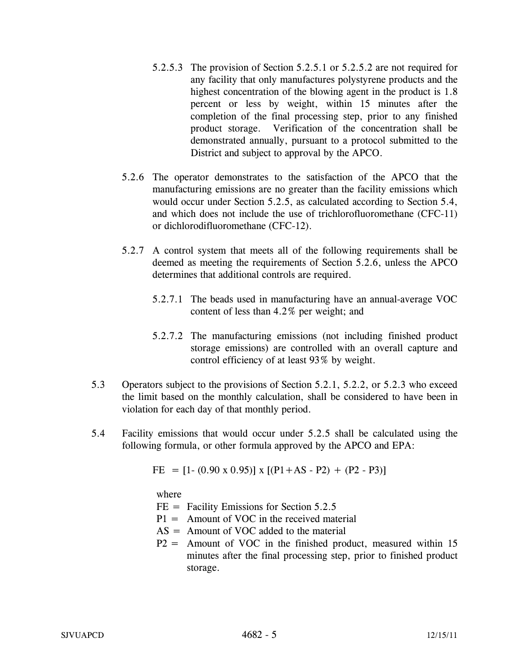- 5.2.5.3 The provision of Section 5.2.5.1 or 5.2.5.2 are not required for any facility that only manufactures polystyrene products and the highest concentration of the blowing agent in the product is 1.8 percent or less by weight, within 15 minutes after the completion of the final processing step, prior to any finished product storage. Verification of the concentration shall be demonstrated annually, pursuant to a protocol submitted to the District and subject to approval by the APCO.
- 5.2.6 The operator demonstrates to the satisfaction of the APCO that the manufacturing emissions are no greater than the facility emissions which would occur under Section 5.2.5, as calculated according to Section 5.4, and which does not include the use of trichlorofluoromethane (CFC-11) or dichlorodifluoromethane (CFC-12).
- 5.2.7 A control system that meets all of the following requirements shall be deemed as meeting the requirements of Section 5.2.6, unless the APCO determines that additional controls are required.
	- 5.2.7.1 The beads used in manufacturing have an annual-average VOC content of less than 4.2% per weight; and
	- 5.2.7.2 The manufacturing emissions (not including finished product storage emissions) are controlled with an overall capture and control efficiency of at least 93% by weight.
- 5.3 Operators subject to the provisions of Section 5.2.1, 5.2.2, or 5.2.3 who exceed the limit based on the monthly calculation, shall be considered to have been in violation for each day of that monthly period.
- 5.4 Facility emissions that would occur under 5.2.5 shall be calculated using the following formula, or other formula approved by the APCO and EPA:

FE =  $[1-(0.90 \times 0.95)] \times [(P1+AS-P2) + (P2-P3)]$ 

where

- $FE = Facility Emissions for Section 5.2.5$
- $P1 =$  Amount of VOC in the received material
- $AS =$  Amount of VOC added to the material
- $P2 =$  Amount of VOC in the finished product, measured within 15 minutes after the final processing step, prior to finished product storage.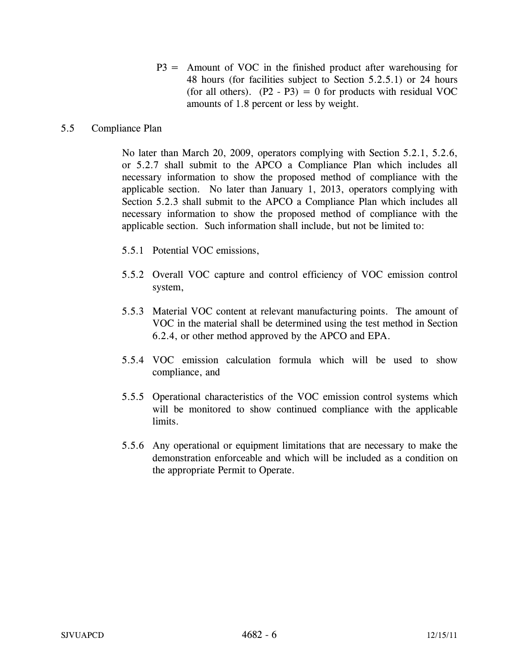P3 = Amount of VOC in the finished product after warehousing for 48 hours (for facilities subject to Section 5.2.5.1) or 24 hours (for all others).  $(P2 - P3) = 0$  for products with residual VOC amounts of 1.8 percent or less by weight.

# 5.5 Compliance Plan

No later than March 20, 2009, operators complying with Section 5.2.1, 5.2.6, or 5.2.7 shall submit to the APCO a Compliance Plan which includes all necessary information to show the proposed method of compliance with the applicable section. No later than January 1, 2013, operators complying with Section 5.2.3 shall submit to the APCO a Compliance Plan which includes all necessary information to show the proposed method of compliance with the applicable section. Such information shall include, but not be limited to:

- 5.5.1 Potential VOC emissions,
- 5.5.2 Overall VOC capture and control efficiency of VOC emission control system,
- 5.5.3 Material VOC content at relevant manufacturing points. The amount of VOC in the material shall be determined using the test method in Section 6.2.4, or other method approved by the APCO and EPA.
- 5.5.4 VOC emission calculation formula which will be used to show compliance, and
- 5.5.5 Operational characteristics of the VOC emission control systems which will be monitored to show continued compliance with the applicable limits.
- 5.5.6 Any operational or equipment limitations that are necessary to make the demonstration enforceable and which will be included as a condition on the appropriate Permit to Operate.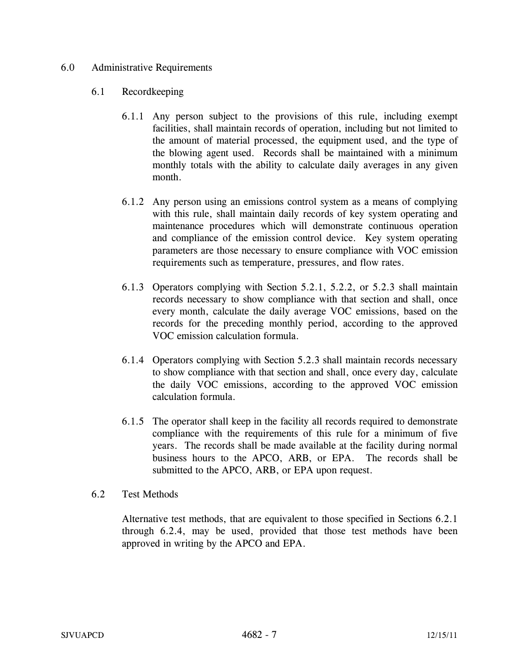## 6.0 Administrative Requirements

# 6.1 Recordkeeping

- 6.1.1 Any person subject to the provisions of this rule, including exempt facilities, shall maintain records of operation, including but not limited to the amount of material processed, the equipment used, and the type of the blowing agent used. Records shall be maintained with a minimum monthly totals with the ability to calculate daily averages in any given month.
- 6.1.2 Any person using an emissions control system as a means of complying with this rule, shall maintain daily records of key system operating and maintenance procedures which will demonstrate continuous operation and compliance of the emission control device. Key system operating parameters are those necessary to ensure compliance with VOC emission requirements such as temperature, pressures, and flow rates.
- 6.1.3 Operators complying with Section 5.2.1, 5.2.2, or 5.2.3 shall maintain records necessary to show compliance with that section and shall, once every month, calculate the daily average VOC emissions, based on the records for the preceding monthly period, according to the approved VOC emission calculation formula.
- 6.1.4 Operators complying with Section 5.2.3 shall maintain records necessary to show compliance with that section and shall, once every day, calculate the daily VOC emissions, according to the approved VOC emission calculation formula.
- 6.1.5 The operator shall keep in the facility all records required to demonstrate compliance with the requirements of this rule for a minimum of five years. The records shall be made available at the facility during normal business hours to the APCO, ARB, or EPA. The records shall be submitted to the APCO, ARB, or EPA upon request.

## 6.2 Test Methods

Alternative test methods, that are equivalent to those specified in Sections 6.2.1 through 6.2.4, may be used, provided that those test methods have been approved in writing by the APCO and EPA.